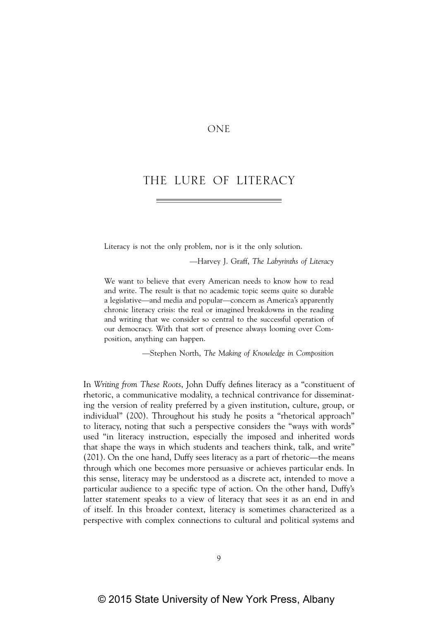# ONE

# THE LURE OF LITERACY

Literacy is not the only problem, nor is it the only solution.

—Harvey J. Graff, *The Labyrinths of Literacy*

We want to believe that every American needs to know how to read and write. The result is that no academic topic seems quite so durable a legislative—and media and popular—concern as America's apparently chronic literacy crisis: the real or imagined breakdowns in the reading and writing that we consider so central to the successful operation of our democracy. With that sort of presence always looming over Composition, anything can happen.

—Stephen North, *The Making of Knowledge in Composition*

In *Writing from These Roots*, John Duffy defines literacy as a "constituent of rhetoric, a communicative modality, a technical contrivance for disseminating the version of reality preferred by a given institution, culture, group, or individual" (200). Throughout his study he posits a "rhetorical approach" to literacy, noting that such a perspective considers the "ways with words" used "in literacy instruction, especially the imposed and inherited words that shape the ways in which students and teachers think, talk, and write" (201). On the one hand, Duffy sees literacy as a part of rhetoric—the means through which one becomes more persuasive or achieves particular ends. In this sense, literacy may be understood as a discrete act, intended to move a particular audience to a specific type of action. On the other hand, Duffy's latter statement speaks to a view of literacy that sees it as an end in and of itself. In this broader context, literacy is sometimes characterized as a perspective with complex connections to cultural and political systems and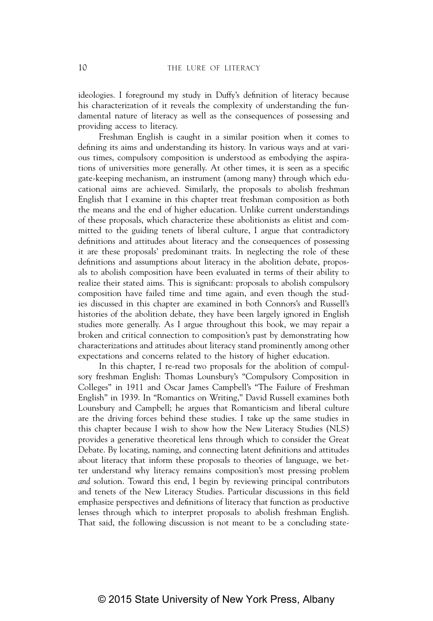ideologies. I foreground my study in Duffy's definition of literacy because his characterization of it reveals the complexity of understanding the fundamental nature of literacy as well as the consequences of possessing and providing access to literacy.

Freshman English is caught in a similar position when it comes to defining its aims and understanding its history. In various ways and at various times, compulsory composition is understood as embodying the aspirations of universities more generally. At other times, it is seen as a specific gate-keeping mechanism, an instrument (among many) through which educational aims are achieved. Similarly, the proposals to abolish freshman English that I examine in this chapter treat freshman composition as both the means and the end of higher education. Unlike current understandings of these proposals, which characterize these abolitionists as elitist and committed to the guiding tenets of liberal culture, I argue that contradictory definitions and attitudes about literacy and the consequences of possessing it are these proposals' predominant traits. In neglecting the role of these definitions and assumptions about literacy in the abolition debate, proposals to abolish composition have been evaluated in terms of their ability to realize their stated aims. This is significant: proposals to abolish compulsory composition have failed time and time again, and even though the studies discussed in this chapter are examined in both Connors's and Russell's histories of the abolition debate, they have been largely ignored in English studies more generally. As I argue throughout this book, we may repair a broken and critical connection to composition's past by demonstrating how characterizations and attitudes about literacy stand prominently among other expectations and concerns related to the history of higher education.

In this chapter, I re-read two proposals for the abolition of compulsory freshman English: Thomas Lounsbury's "Compulsory Composition in Colleges" in 1911 and Oscar James Campbell's "The Failure of Freshman English" in 1939. In "Romantics on Writing," David Russell examines both Lounsbury and Campbell; he argues that Romanticism and liberal culture are the driving forces behind these studies. I take up the same studies in this chapter because I wish to show how the New Literacy Studies (NLS) provides a generative theoretical lens through which to consider the Great Debate. By locating, naming, and connecting latent definitions and attitudes about literacy that inform these proposals to theories of language, we better understand why literacy remains composition's most pressing problem *and* solution. Toward this end, I begin by reviewing principal contributors and tenets of the New Literacy Studies. Particular discussions in this field emphasize perspectives and definitions of literacy that function as productive lenses through which to interpret proposals to abolish freshman English. That said, the following discussion is not meant to be a concluding state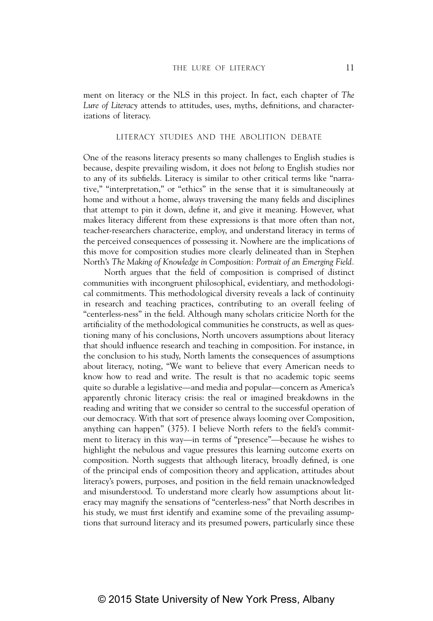ment on literacy or the NLS in this project. In fact, each chapter of *The Lure of Literacy* attends to attitudes, uses, myths, definitions, and characterizations of literacy.

#### LITERACY STUDIES AND THE ABOLITION DEBATE

One of the reasons literacy presents so many challenges to English studies is because, despite prevailing wisdom, it does not *belong* to English studies nor to any of its subfields. Literacy is similar to other critical terms like "narrative," "interpretation," or "ethics" in the sense that it is simultaneously at home and without a home, always traversing the many fields and disciplines that attempt to pin it down, define it, and give it meaning. However, what makes literacy different from these expressions is that more often than not, teacher-researchers characterize, employ, and understand literacy in terms of the perceived consequences of possessing it. Nowhere are the implications of this move for composition studies more clearly delineated than in Stephen North's *The Making of Knowledge in Composition: Portrait of an Emerging Field.*

North argues that the field of composition is comprised of distinct communities with incongruent philosophical, evidentiary, and methodological commitments. This methodological diversity reveals a lack of continuity in research and teaching practices, contributing to an overall feeling of "centerless-ness" in the field. Although many scholars criticize North for the artificiality of the methodological communities he constructs, as well as questioning many of his conclusions, North uncovers assumptions about literacy that should influence research and teaching in composition. For instance, in the conclusion to his study, North laments the consequences of assumptions about literacy, noting, "We want to believe that every American needs to know how to read and write. The result is that no academic topic seems quite so durable a legislative—and media and popular—concern as America's apparently chronic literacy crisis: the real or imagined breakdowns in the reading and writing that we consider so central to the successful operation of our democracy. With that sort of presence always looming over Composition, anything can happen" (375). I believe North refers to the field's commitment to literacy in this way—in terms of "presence"—because he wishes to highlight the nebulous and vague pressures this learning outcome exerts on composition. North suggests that although literacy, broadly defined, is one of the principal ends of composition theory and application, attitudes about literacy's powers, purposes, and position in the field remain unacknowledged and misunderstood. To understand more clearly how assumptions about literacy may magnify the sensations of "centerless-ness" that North describes in his study, we must first identify and examine some of the prevailing assumptions that surround literacy and its presumed powers, particularly since these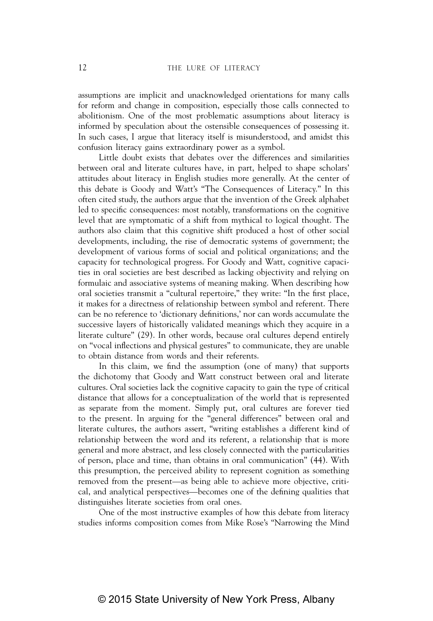assumptions are implicit and unacknowledged orientations for many calls for reform and change in composition, especially those calls connected to abolitionism. One of the most problematic assumptions about literacy is informed by speculation about the ostensible consequences of possessing it. In such cases, I argue that literacy itself is misunderstood, and amidst this confusion literacy gains extraordinary power as a symbol.

Little doubt exists that debates over the differences and similarities between oral and literate cultures have, in part, helped to shape scholars' attitudes about literacy in English studies more generally. At the center of this debate is Goody and Watt's "The Consequences of Literacy." In this often cited study, the authors argue that the invention of the Greek alphabet led to specific consequences: most notably, transformations on the cognitive level that are symptomatic of a shift from mythical to logical thought. The authors also claim that this cognitive shift produced a host of other social developments, including, the rise of democratic systems of government; the development of various forms of social and political organizations; and the capacity for technological progress. For Goody and Watt, cognitive capacities in oral societies are best described as lacking objectivity and relying on formulaic and associative systems of meaning making. When describing how oral societies transmit a "cultural repertoire," they write: "In the first place, it makes for a directness of relationship between symbol and referent. There can be no reference to 'dictionary definitions,' nor can words accumulate the successive layers of historically validated meanings which they acquire in a literate culture" (29). In other words, because oral cultures depend entirely on "vocal inflections and physical gestures" to communicate, they are unable to obtain distance from words and their referents.

In this claim, we find the assumption (one of many) that supports the dichotomy that Goody and Watt construct between oral and literate cultures. Oral societies lack the cognitive capacity to gain the type of critical distance that allows for a conceptualization of the world that is represented as separate from the moment. Simply put, oral cultures are forever tied to the present. In arguing for the "general differences" between oral and literate cultures, the authors assert, "writing establishes a different kind of relationship between the word and its referent, a relationship that is more general and more abstract, and less closely connected with the particularities of person, place and time, than obtains in oral communication" (44). With this presumption, the perceived ability to represent cognition as something removed from the present—as being able to achieve more objective, critical, and analytical perspectives—becomes one of the defining qualities that distinguishes literate societies from oral ones.

One of the most instructive examples of how this debate from literacy studies informs composition comes from Mike Rose's "Narrowing the Mind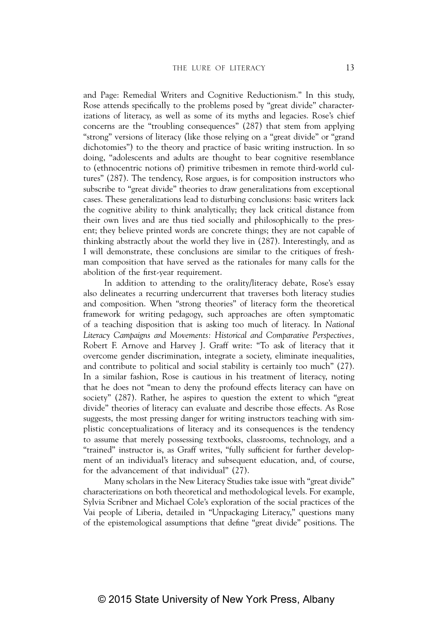and Page: Remedial Writers and Cognitive Reductionism." In this study, Rose attends specifically to the problems posed by "great divide" characterizations of literacy, as well as some of its myths and legacies. Rose's chief concerns are the "troubling consequences" (287) that stem from applying "strong" versions of literacy (like those relying on a "great divide" or "grand dichotomies") to the theory and practice of basic writing instruction. In so doing, "adolescents and adults are thought to bear cognitive resemblance to (ethnocentric notions of) primitive tribesmen in remote third-world cultures" (287). The tendency, Rose argues, is for composition instructors who subscribe to "great divide" theories to draw generalizations from exceptional cases. These generalizations lead to disturbing conclusions: basic writers lack the cognitive ability to think analytically; they lack critical distance from their own lives and are thus tied socially and philosophically to the present; they believe printed words are concrete things; they are not capable of thinking abstractly about the world they live in (287). Interestingly, and as I will demonstrate, these conclusions are similar to the critiques of freshman composition that have served as the rationales for many calls for the abolition of the first-year requirement.

In addition to attending to the orality/literacy debate, Rose's essay also delineates a recurring undercurrent that traverses both literacy studies and composition. When "strong theories" of literacy form the theoretical framework for writing pedagogy, such approaches are often symptomatic of a teaching disposition that is asking too much of literacy. In *National Literacy Campaigns and Movements: Historical and Comparative Perspectives,* Robert F. Arnove and Harvey J. Graff write: "To ask of literacy that it overcome gender discrimination, integrate a society, eliminate inequalities, and contribute to political and social stability is certainly too much" (27). In a similar fashion, Rose is cautious in his treatment of literacy, noting that he does not "mean to deny the profound effects literacy can have on society" (287). Rather, he aspires to question the extent to which "great divide" theories of literacy can evaluate and describe those effects. As Rose suggests, the most pressing danger for writing instructors teaching with simplistic conceptualizations of literacy and its consequences is the tendency to assume that merely possessing textbooks, classrooms, technology, and a "trained" instructor is, as Graff writes, "fully sufficient for further development of an individual's literacy and subsequent education, and, of course, for the advancement of that individual" (27).

Many scholars in the New Literacy Studies take issue with "great divide" characterizations on both theoretical and methodological levels. For example, Sylvia Scribner and Michael Cole's exploration of the social practices of the Vai people of Liberia, detailed in "Unpackaging Literacy," questions many of the epistemological assumptions that define "great divide" positions. The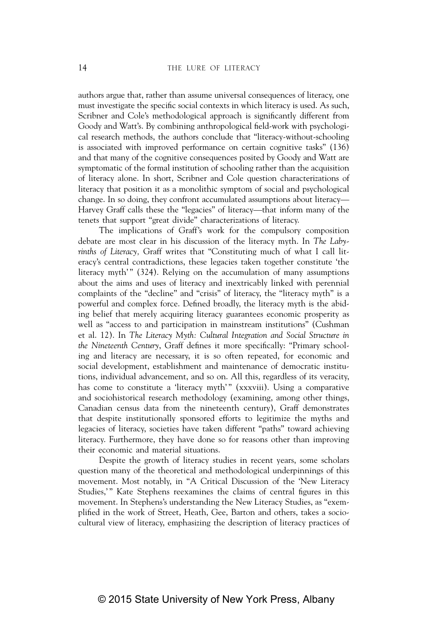authors argue that, rather than assume universal consequences of literacy, one must investigate the specific social contexts in which literacy is used. As such, Scribner and Cole's methodological approach is significantly different from Goody and Watt's. By combining anthropological field-work with psychological research methods, the authors conclude that "literacy-without-schooling is associated with improved performance on certain cognitive tasks" (136) and that many of the cognitive consequences posited by Goody and Watt are symptomatic of the formal institution of schooling rather than the acquisition of literacy alone. In short, Scribner and Cole question characterizations of literacy that position it as a monolithic symptom of social and psychological change. In so doing, they confront accumulated assumptions about literacy— Harvey Graff calls these the "legacies" of literacy—that inform many of the tenets that support "great divide" characterizations of literacy.

The implications of Graff's work for the compulsory composition debate are most clear in his discussion of the literacy myth. In *The Labyrinths of Literacy,* Graff writes that "Constituting much of what I call literacy's central contradictions, these legacies taken together constitute 'the literacy myth'" (324). Relying on the accumulation of many assumptions about the aims and uses of literacy and inextricably linked with perennial complaints of the "decline" and "crisis" of literacy, the "literacy myth" is a powerful and complex force. Defined broadly, the literacy myth is the abiding belief that merely acquiring literacy guarantees economic prosperity as well as "access to and participation in mainstream institutions" (Cushman et al. 12). In *The Literacy Myth: Cultural Integration and Social Structure in the Nineteenth Century*, Graff defines it more specifically: "Primary schooling and literacy are necessary, it is so often repeated, for economic and social development, establishment and maintenance of democratic institutions, individual advancement, and so on. All this, regardless of its veracity, has come to constitute a 'literacy myth'" (xxxviii). Using a comparative and sociohistorical research methodology (examining, among other things, Canadian census data from the nineteenth century), Graff demonstrates that despite institutionally sponsored efforts to legitimize the myths and legacies of literacy, societies have taken different "paths" toward achieving literacy. Furthermore, they have done so for reasons other than improving their economic and material situations.

Despite the growth of literacy studies in recent years, some scholars question many of the theoretical and methodological underpinnings of this movement. Most notably, in "A Critical Discussion of the 'New Literacy Studies,'" Kate Stephens reexamines the claims of central figures in this movement. In Stephens's understanding the New Literacy Studies, as "exemplified in the work of Street, Heath, Gee, Barton and others, takes a sociocultural view of literacy, emphasizing the description of literacy practices of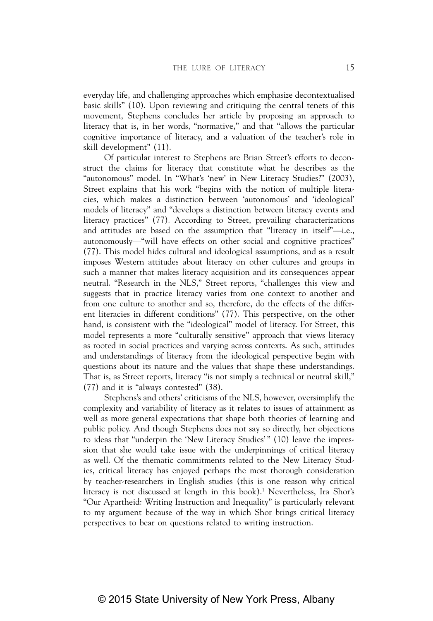everyday life, and challenging approaches which emphasize decontextualised basic skills" (10). Upon reviewing and critiquing the central tenets of this movement, Stephens concludes her article by proposing an approach to literacy that is, in her words, "normative," and that "allows the particular cognitive importance of literacy, and a valuation of the teacher's role in skill development" (11).

Of particular interest to Stephens are Brian Street's efforts to deconstruct the claims for literacy that constitute what he describes as the "autonomous" model. In "What's 'new' in New Literacy Studies?" (2003), Street explains that his work "begins with the notion of multiple literacies, which makes a distinction between 'autonomous' and 'ideological' models of literacy" and "develops a distinction between literacy events and literacy practices" (77). According to Street, prevailing characterizations and attitudes are based on the assumption that "literacy in itself"—i.e., autonomously—"will have effects on other social and cognitive practices" (77). This model hides cultural and ideological assumptions, and as a result imposes Western attitudes about literacy on other cultures and groups in such a manner that makes literacy acquisition and its consequences appear neutral. "Research in the NLS," Street reports, "challenges this view and suggests that in practice literacy varies from one context to another and from one culture to another and so, therefore, do the effects of the different literacies in different conditions" (77). This perspective, on the other hand, is consistent with the "ideological" model of literacy. For Street, this model represents a more "culturally sensitive" approach that views literacy as rooted in social practices and varying across contexts. As such, attitudes and understandings of literacy from the ideological perspective begin with questions about its nature and the values that shape these understandings. That is, as Street reports, literacy "is not simply a technical or neutral skill," (77) and it is "always contested" (38).

Stephens's and others' criticisms of the NLS, however, oversimplify the complexity and variability of literacy as it relates to issues of attainment as well as more general expectations that shape both theories of learning and public policy. And though Stephens does not say so directly, her objections to ideas that "underpin the 'New Literacy Studies'" (10) leave the impression that she would take issue with the underpinnings of critical literacy as well. Of the thematic commitments related to the New Literacy Studies, critical literacy has enjoyed perhaps the most thorough consideration by teacher-researchers in English studies (this is one reason why critical literacy is not discussed at length in this book).<sup>1</sup> Nevertheless, Ira Shor's "Our Apartheid: Writing Instruction and Inequality" is particularly relevant to my argument because of the way in which Shor brings critical literacy perspectives to bear on questions related to writing instruction.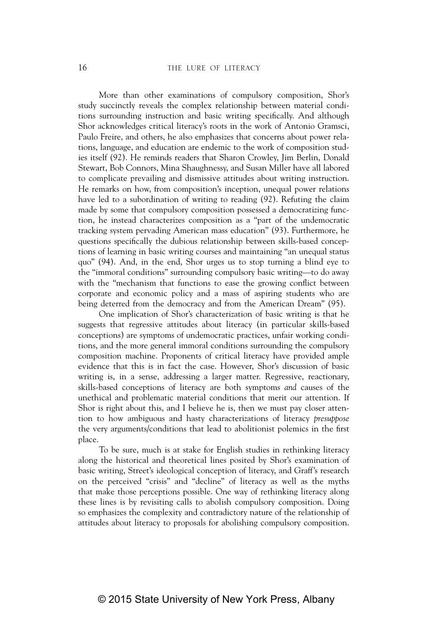More than other examinations of compulsory composition, Shor's study succinctly reveals the complex relationship between material conditions surrounding instruction and basic writing specifically. And although Shor acknowledges critical literacy's roots in the work of Antonio Gramsci, Paulo Freire, and others, he also emphasizes that concerns about power relations, language, and education are endemic to the work of composition studies itself (92). He reminds readers that Sharon Crowley, Jim Berlin, Donald Stewart, Bob Connors, Mina Shaughnessy, and Susan Miller have all labored to complicate prevailing and dismissive attitudes about writing instruction. He remarks on how, from composition's inception, unequal power relations have led to a subordination of writing to reading (92). Refuting the claim made by some that compulsory composition possessed a democratizing function, he instead characterizes composition as a "part of the undemocratic tracking system pervading American mass education" (93). Furthermore, he questions specifically the dubious relationship between skills-based conceptions of learning in basic writing courses and maintaining "an unequal status quo" (94). And, in the end, Shor urges us to stop turning a blind eye to the "immoral conditions" surrounding compulsory basic writing—to do away with the "mechanism that functions to ease the growing conflict between corporate and economic policy and a mass of aspiring students who are being deterred from the democracy and from the American Dream" (95).

One implication of Shor's characterization of basic writing is that he suggests that regressive attitudes about literacy (in particular skills-based conceptions) are symptoms of undemocratic practices, unfair working conditions, and the more general immoral conditions surrounding the compulsory composition machine. Proponents of critical literacy have provided ample evidence that this is in fact the case. However, Shor's discussion of basic writing is, in a sense, addressing a larger matter. Regressive, reactionary, skills-based conceptions of literacy are both symptoms *and* causes of the unethical and problematic material conditions that merit our attention. If Shor is right about this, and I believe he is, then we must pay closer attention to how ambiguous and hasty characterizations of literacy *presuppose* the very arguments/conditions that lead to abolitionist polemics in the first place.

To be sure, much is at stake for English studies in rethinking literacy along the historical and theoretical lines posited by Shor's examination of basic writing, Street's ideological conception of literacy, and Graff's research on the perceived "crisis" and "decline" of literacy as well as the myths that make those perceptions possible. One way of rethinking literacy along these lines is by revisiting calls to abolish compulsory composition. Doing so emphasizes the complexity and contradictory nature of the relationship of attitudes about literacy to proposals for abolishing compulsory composition.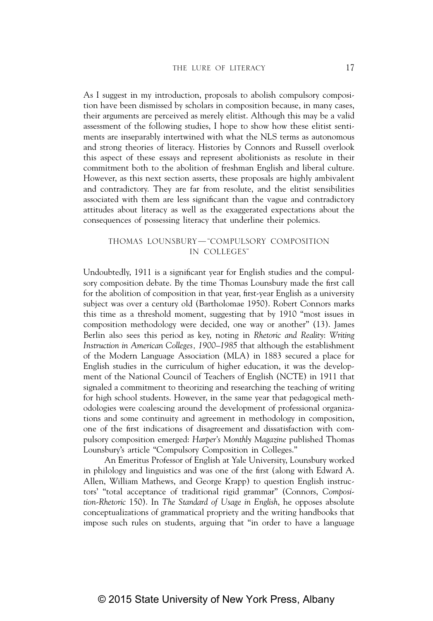As I suggest in my introduction, proposals to abolish compulsory composition have been dismissed by scholars in composition because, in many cases, their arguments are perceived as merely elitist. Although this may be a valid assessment of the following studies, I hope to show how these elitist sentiments are inseparably intertwined with what the NLS terms as autonomous and strong theories of literacy. Histories by Connors and Russell overlook this aspect of these essays and represent abolitionists as resolute in their commitment both to the abolition of freshman English and liberal culture. However, as this next section asserts, these proposals are highly ambivalent and contradictory. They are far from resolute, and the elitist sensibilities associated with them are less significant than the vague and contradictory attitudes about literacy as well as the exaggerated expectations about the consequences of possessing literacy that underline their polemics.

#### THOMAS LOUNSBURY—"COMPULSORY COMPOSITION IN COLLEGES"

Undoubtedly, 1911 is a significant year for English studies and the compulsory composition debate. By the time Thomas Lounsbury made the first call for the abolition of composition in that year, first-year English as a university subject was over a century old (Bartholomae 1950). Robert Connors marks this time as a threshold moment, suggesting that by 1910 "most issues in composition methodology were decided, one way or another" (13). James Berlin also sees this period as key, noting in *Rhetoric and Reality*: *Writing Instruction in American Colleges, 1900–1985* that although the establishment of the Modern Language Association (MLA) in 1883 secured a place for English studies in the curriculum of higher education, it was the development of the National Council of Teachers of English (NCTE) in 1911 that signaled a commitment to theorizing and researching the teaching of writing for high school students. However, in the same year that pedagogical methodologies were coalescing around the development of professional organizations and some continuity and agreement in methodology in composition, one of the first indications of disagreement and dissatisfaction with compulsory composition emerged: *Harper's Monthly Magazine* published Thomas Lounsbury's article "Compulsory Composition in Colleges."

An Emeritus Professor of English at Yale University, Lounsbury worked in philology and linguistics and was one of the first (along with Edward A. Allen, William Mathews, and George Krapp) to question English instructors' "total acceptance of traditional rigid grammar" (Connors, *Composition-Rhetoric* 150). In *The Standard of Usage in English*, he opposes absolute conceptualizations of grammatical propriety and the writing handbooks that impose such rules on students, arguing that "in order to have a language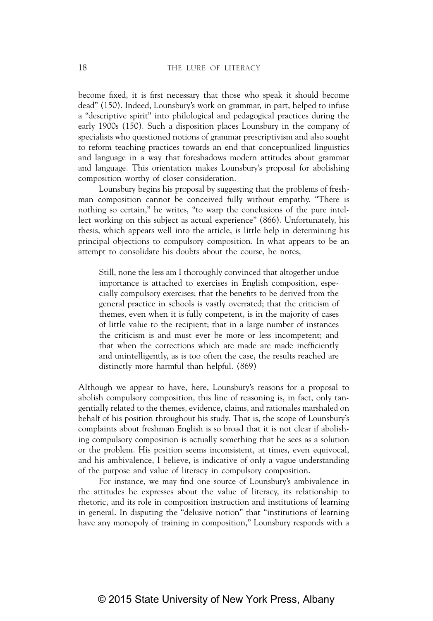become fixed, it is first necessary that those who speak it should become dead" (150). Indeed, Lounsbury's work on grammar, in part, helped to infuse a "descriptive spirit" into philological and pedagogical practices during the early 1900s (150). Such a disposition places Lounsbury in the company of specialists who questioned notions of grammar prescriptivism and also sought to reform teaching practices towards an end that conceptualized linguistics and language in a way that foreshadows modern attitudes about grammar and language. This orientation makes Lounsbury's proposal for abolishing composition worthy of closer consideration.

Lounsbury begins his proposal by suggesting that the problems of freshman composition cannot be conceived fully without empathy. "There is nothing so certain," he writes, "to warp the conclusions of the pure intellect working on this subject as actual experience" (866). Unfortunately, his thesis, which appears well into the article, is little help in determining his principal objections to compulsory composition. In what appears to be an attempt to consolidate his doubts about the course, he notes,

Still, none the less am I thoroughly convinced that altogether undue importance is attached to exercises in English composition, especially compulsory exercises; that the benefits to be derived from the general practice in schools is vastly overrated; that the criticism of themes, even when it is fully competent, is in the majority of cases of little value to the recipient; that in a large number of instances the criticism is and must ever be more or less incompetent; and that when the corrections which are made are made inefficiently and unintelligently, as is too often the case, the results reached are distinctly more harmful than helpful. (869)

Although we appear to have, here, Lounsbury's reasons for a proposal to abolish compulsory composition, this line of reasoning is, in fact, only tangentially related to the themes, evidence, claims, and rationales marshaled on behalf of his position throughout his study. That is, the scope of Lounsbury's complaints about freshman English is so broad that it is not clear if abolishing compulsory composition is actually something that he sees as a solution or the problem. His position seems inconsistent, at times, even equivocal, and his ambivalence, I believe, is indicative of only a vague understanding of the purpose and value of literacy in compulsory composition.

For instance, we may find one source of Lounsbury's ambivalence in the attitudes he expresses about the value of literacy, its relationship to rhetoric, and its role in composition instruction and institutions of learning in general. In disputing the "delusive notion" that "institutions of learning have any monopoly of training in composition," Lounsbury responds with a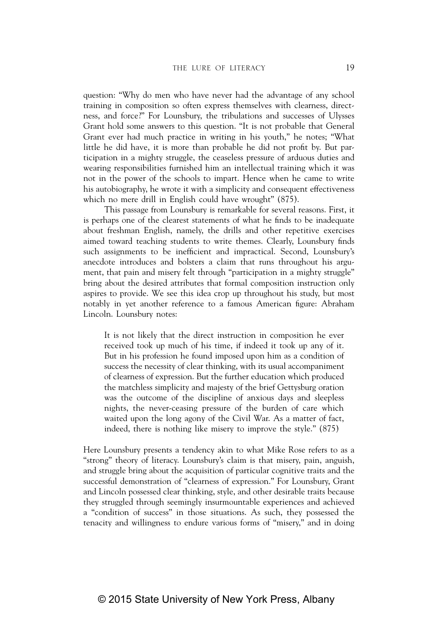question: "Why do men who have never had the advantage of any school training in composition so often express themselves with clearness, directness, and force?" For Lounsbury, the tribulations and successes of Ulysses Grant hold some answers to this question. "It is not probable that General Grant ever had much practice in writing in his youth," he notes; "What little he did have, it is more than probable he did not profit by. But participation in a mighty struggle, the ceaseless pressure of arduous duties and wearing responsibilities furnished him an intellectual training which it was not in the power of the schools to impart. Hence when he came to write his autobiography, he wrote it with a simplicity and consequent effectiveness which no mere drill in English could have wrought" (875).

This passage from Lounsbury is remarkable for several reasons. First, it is perhaps one of the clearest statements of what he finds to be inadequate about freshman English, namely, the drills and other repetitive exercises aimed toward teaching students to write themes. Clearly, Lounsbury finds such assignments to be inefficient and impractical. Second, Lounsbury's anecdote introduces and bolsters a claim that runs throughout his argument, that pain and misery felt through "participation in a mighty struggle" bring about the desired attributes that formal composition instruction only aspires to provide. We see this idea crop up throughout his study, but most notably in yet another reference to a famous American figure: Abraham Lincoln. Lounsbury notes:

It is not likely that the direct instruction in composition he ever received took up much of his time, if indeed it took up any of it. But in his profession he found imposed upon him as a condition of success the necessity of clear thinking, with its usual accompaniment of clearness of expression. But the further education which produced the matchless simplicity and majesty of the brief Gettysburg oration was the outcome of the discipline of anxious days and sleepless nights, the never-ceasing pressure of the burden of care which waited upon the long agony of the Civil War. As a matter of fact, indeed, there is nothing like misery to improve the style." (875)

Here Lounsbury presents a tendency akin to what Mike Rose refers to as a "strong" theory of literacy. Lounsbury's claim is that misery, pain, anguish, and struggle bring about the acquisition of particular cognitive traits and the successful demonstration of "clearness of expression." For Lounsbury, Grant and Lincoln possessed clear thinking, style, and other desirable traits because they struggled through seemingly insurmountable experiences and achieved a "condition of success" in those situations. As such, they possessed the tenacity and willingness to endure various forms of "misery," and in doing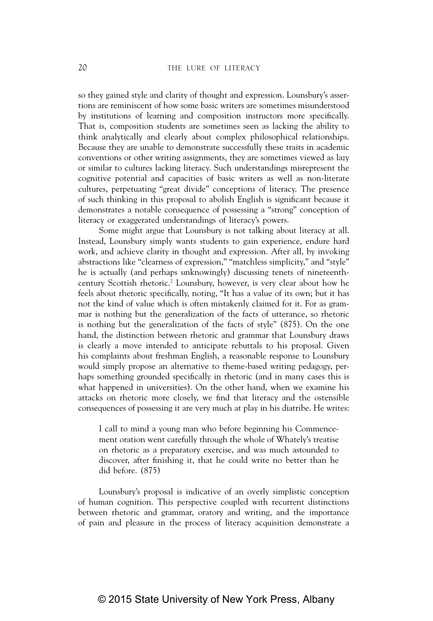so they gained style and clarity of thought and expression. Lounsbury's assertions are reminiscent of how some basic writers are sometimes misunderstood by institutions of learning and composition instructors more specifically. That is, composition students are sometimes seen as lacking the ability to think analytically and clearly about complex philosophical relationships. Because they are unable to demonstrate successfully these traits in academic conventions or other writing assignments, they are sometimes viewed as lazy or similar to cultures lacking literacy. Such understandings misrepresent the cognitive potential and capacities of basic writers as well as non-literate cultures, perpetuating "great divide" conceptions of literacy. The presence of such thinking in this proposal to abolish English is significant because it demonstrates a notable consequence of possessing a "strong" conception of literacy or exaggerated understandings of literacy's powers.

Some might argue that Lounsbury is not talking about literacy at all. Instead, Lounsbury simply wants students to gain experience, endure hard work, and achieve clarity in thought and expression. After all, by invoking abstractions like "clearness of expression," "matchless simplicity," and "style" he is actually (and perhaps unknowingly) discussing tenets of nineteenthcentury Scottish rhetoric.2 Lounsbury, however, is very clear about how he feels about rhetoric specifically, noting, "It has a value of its own; but it has not the kind of value which is often mistakenly claimed for it. For as grammar is nothing but the generalization of the facts of utterance, so rhetoric is nothing but the generalization of the facts of style" (875). On the one hand, the distinction between rhetoric and grammar that Lounsbury draws is clearly a move intended to anticipate rebuttals to his proposal. Given his complaints about freshman English, a reasonable response to Lounsbury would simply propose an alternative to theme-based writing pedagogy, perhaps something grounded specifically in rhetoric (and in many cases this is what happened in universities). On the other hand, when we examine his attacks on rhetoric more closely, we find that literacy and the ostensible consequences of possessing it are very much at play in his diatribe. He writes:

I call to mind a young man who before beginning his Commencement oration went carefully through the whole of Whately's treatise on rhetoric as a preparatory exercise, and was much astounded to discover, after finishing it, that he could write no better than he did before. (875)

Lounsbury's proposal is indicative of an overly simplistic conception of human cognition. This perspective coupled with recurrent distinctions between rhetoric and grammar, oratory and writing, and the importance of pain and pleasure in the process of literacy acquisition demonstrate a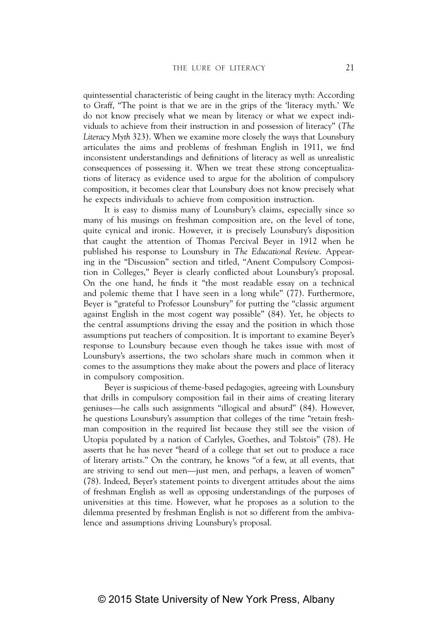quintessential characteristic of being caught in the literacy myth: According to Graff, "The point is that we are in the grips of the 'literacy myth.' We do not know precisely what we mean by literacy or what we expect individuals to achieve from their instruction in and possession of literacy" (*The Literacy Myth* 323). When we examine more closely the ways that Lounsbury articulates the aims and problems of freshman English in 1911, we find inconsistent understandings and definitions of literacy as well as unrealistic consequences of possessing it. When we treat these strong conceptualizations of literacy as evidence used to argue for the abolition of compulsory composition, it becomes clear that Lounsbury does not know precisely what he expects individuals to achieve from composition instruction.

It is easy to dismiss many of Lounsbury's claims, especially since so many of his musings on freshman composition are, on the level of tone, quite cynical and ironic. However, it is precisely Lounsbury's disposition that caught the attention of Thomas Percival Beyer in 1912 when he published his response to Lounsbury in *The Educational Review*. Appearing in the "Discussion" section and titled, "Anent Compulsory Composition in Colleges," Beyer is clearly conflicted about Lounsbury's proposal. On the one hand, he finds it "the most readable essay on a technical and polemic theme that I have seen in a long while" (77). Furthermore, Beyer is "grateful to Professor Lounsbury" for putting the "classic argument against English in the most cogent way possible" (84). Yet, he objects to the central assumptions driving the essay and the position in which those assumptions put teachers of composition. It is important to examine Beyer's response to Lounsbury because even though he takes issue with most of Lounsbury's assertions, the two scholars share much in common when it comes to the assumptions they make about the powers and place of literacy in compulsory composition.

Beyer is suspicious of theme-based pedagogies, agreeing with Lounsbury that drills in compulsory composition fail in their aims of creating literary geniuses—he calls such assignments "illogical and absurd" (84). However, he questions Lounsbury's assumption that colleges of the time "retain freshman composition in the required list because they still see the vision of Utopia populated by a nation of Carlyles, Goethes, and Tolstois" (78). He asserts that he has never "heard of a college that set out to produce a race of literary artists." On the contrary, he knows "of a few, at all events, that are striving to send out men—just men, and perhaps, a leaven of women" (78). Indeed, Beyer's statement points to divergent attitudes about the aims of freshman English as well as opposing understandings of the purposes of universities at this time. However, what he proposes as a solution to the dilemma presented by freshman English is not so different from the ambivalence and assumptions driving Lounsbury's proposal.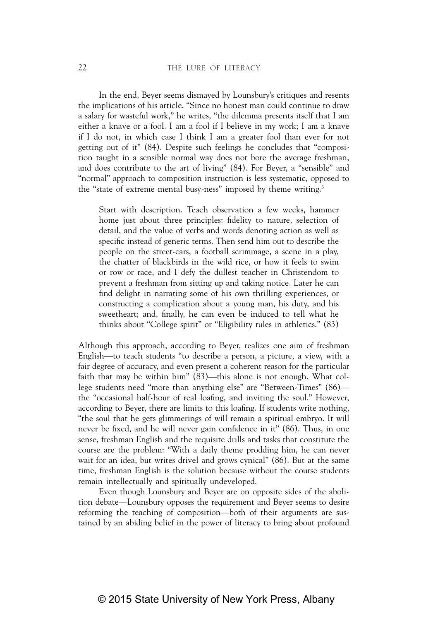In the end, Beyer seems dismayed by Lounsbury's critiques and resents the implications of his article. "Since no honest man could continue to draw a salary for wasteful work," he writes, "the dilemma presents itself that I am either a knave or a fool. I am a fool if I believe in my work; I am a knave if I do not, in which case I think I am a greater fool than ever for not getting out of it" (84). Despite such feelings he concludes that "composition taught in a sensible normal way does not bore the average freshman, and does contribute to the art of living" (84). For Beyer, a "sensible" and "normal" approach to composition instruction is less systematic, opposed to the "state of extreme mental busy-ness" imposed by theme writing.<sup>3</sup>

Start with description. Teach observation a few weeks, hammer home just about three principles: fidelity to nature, selection of detail, and the value of verbs and words denoting action as well as specific instead of generic terms. Then send him out to describe the people on the street-cars, a football scrimmage, a scene in a play, the chatter of blackbirds in the wild rice, or how it feels to swim or row or race, and I defy the dullest teacher in Christendom to prevent a freshman from sitting up and taking notice. Later he can find delight in narrating some of his own thrilling experiences, or constructing a complication about a young man, his duty, and his sweetheart; and, finally, he can even be induced to tell what he thinks about "College spirit" or "Eligibility rules in athletics." (83)

Although this approach, according to Beyer, realizes one aim of freshman English—to teach students "to describe a person, a picture, a view, with a fair degree of accuracy, and even present a coherent reason for the particular faith that may be within him" (83)—this alone is not enough. What college students need "more than anything else" are "Between-Times" (86) the "occasional half-hour of real loafing, and inviting the soul." However, according to Beyer, there are limits to this loafing. If students write nothing, "the soul that he gets glimmerings of will remain a spiritual embryo. It will never be fixed, and he will never gain confidence in it" (86). Thus, in one sense, freshman English and the requisite drills and tasks that constitute the course are the problem: "With a daily theme prodding him, he can never wait for an idea, but writes drivel and grows cynical" (86). But at the same time, freshman English is the solution because without the course students remain intellectually and spiritually undeveloped.

Even though Lounsbury and Beyer are on opposite sides of the abolition debate—Lounsbury opposes the requirement and Beyer seems to desire reforming the teaching of composition—both of their arguments are sustained by an abiding belief in the power of literacy to bring about profound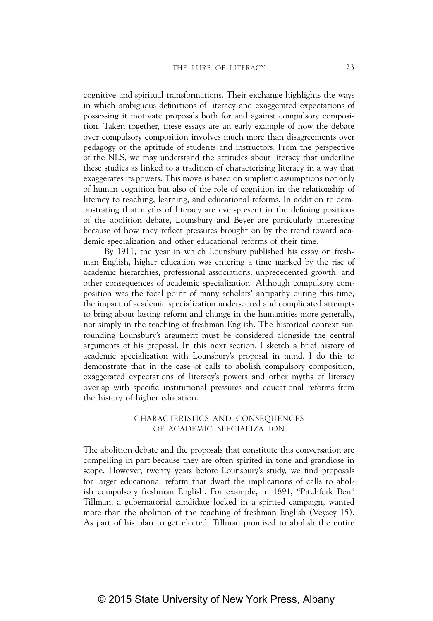cognitive and spiritual transformations. Their exchange highlights the ways in which ambiguous definitions of literacy and exaggerated expectations of possessing it motivate proposals both for and against compulsory composition. Taken together, these essays are an early example of how the debate over compulsory composition involves much more than disagreements over pedagogy or the aptitude of students and instructors. From the perspective of the NLS, we may understand the attitudes about literacy that underline these studies as linked to a tradition of characterizing literacy in a way that exaggerates its powers. This move is based on simplistic assumptions not only of human cognition but also of the role of cognition in the relationship of literacy to teaching, learning, and educational reforms. In addition to demonstrating that myths of literacy are ever-present in the defining positions of the abolition debate, Lounsbury and Beyer are particularly interesting because of how they reflect pressures brought on by the trend toward academic specialization and other educational reforms of their time.

By 1911, the year in which Lounsbury published his essay on freshman English, higher education was entering a time marked by the rise of academic hierarchies, professional associations, unprecedented growth, and other consequences of academic specialization. Although compulsory composition was the focal point of many scholars' antipathy during this time, the impact of academic specialization underscored and complicated attempts to bring about lasting reform and change in the humanities more generally, not simply in the teaching of freshman English. The historical context surrounding Lounsbury's argument must be considered alongside the central arguments of his proposal. In this next section, I sketch a brief history of academic specialization with Lounsbury's proposal in mind. I do this to demonstrate that in the case of calls to abolish compulsory composition, exaggerated expectations of literacy's powers and other myths of literacy overlap with specific institutional pressures and educational reforms from the history of higher education.

## CHARACTERISTICS AND CONSEQUENCES OF ACADEMIC SPECIALIZATION

The abolition debate and the proposals that constitute this conversation are compelling in part because they are often spirited in tone and grandiose in scope. However, twenty years before Lounsbury's study, we find proposals for larger educational reform that dwarf the implications of calls to abolish compulsory freshman English. For example, in 1891, "Pitchfork Ben" Tillman, a gubernatorial candidate locked in a spirited campaign, wanted more than the abolition of the teaching of freshman English (Veysey 15). As part of his plan to get elected, Tillman promised to abolish the entire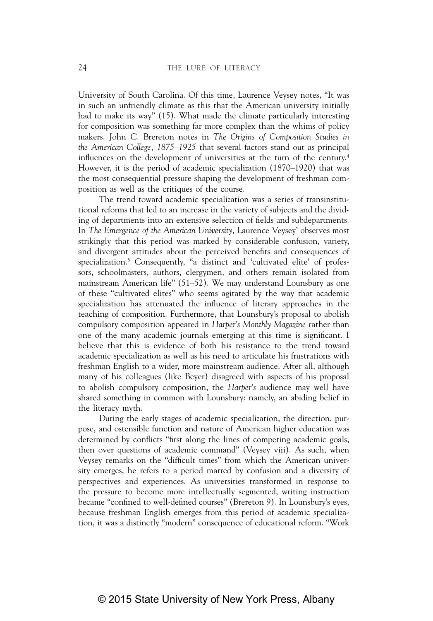University of South Carolina. Of this time, Laurence Veysey notes, "It was in such an unfriendly climate as this that the American university initially had to make its way" (15). What made the climate particularly interesting for composition was something far more complex than the whims of policy makers. John C. Brereton notes in *The Origins of Composition Studies in the American College, 1875*–*1925* that several factors stand out as principal influences on the development of universities at the turn of the century.<sup>4</sup> However, it is the period of academic specialization (1870–1920) that was the most consequential pressure shaping the development of freshman composition as well as the critiques of the course.

The trend toward academic specialization was a series of transinstitutional reforms that led to an increase in the variety of subjects and the dividing of departments into an extensive selection of fields and subdepartments. In *The Emergence of the American University*, Laurence Veysey' observes most strikingly that this period was marked by considerable confusion, variety, and divergent attitudes about the perceived benefits and consequences of specialization.<sup>5</sup> Consequently, "a distinct and 'cultivated elite' of professors, schoolmasters, authors, clergymen, and others remain isolated from mainstream American life" (51–52). We may understand Lounsbury as one of these "cultivated elites" who seems agitated by the way that academic specialization has attenuated the influence of literary approaches in the teaching of composition. Furthermore, that Lounsbury's proposal to abolish compulsory composition appeared in *Harper's Monthly Magazine* rather than one of the many academic journals emerging at this time is significant. I believe that this is evidence of both his resistance to the trend toward academic specialization as well as his need to articulate his frustrations with freshman English to a wider, more mainstream audience. After all, although many of his colleagues (like Beyer) disagreed with aspects of his proposal to abolish compulsory composition, the *Harper's* audience may well have shared something in common with Lounsbury: namely, an abiding belief in the literacy myth.

During the early stages of academic specialization, the direction, purpose, and ostensible function and nature of American higher education was determined by conflicts "first along the lines of competing academic goals, then over questions of academic command" (Veysey viii). As such, when Veysey remarks on the "difficult times" from which the American university emerges, he refers to a period marred by confusion and a diversity of perspectives and experiences. As universities transformed in response to the pressure to become more intellectually segmented, writing instruction became "confined to well-defined courses" (Brereton 9). In Lounsbury's eyes, because freshman English emerges from this period of academic specialization, it was a distinctly "modern" consequence of educational reform. "Work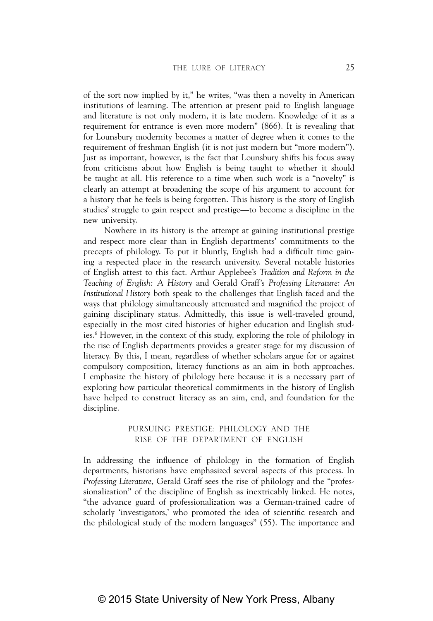of the sort now implied by it," he writes, "was then a novelty in American institutions of learning. The attention at present paid to English language and literature is not only modern, it is late modern. Knowledge of it as a requirement for entrance is even more modern" (866). It is revealing that for Lounsbury modernity becomes a matter of degree when it comes to the requirement of freshman English (it is not just modern but "more modern"). Just as important, however, is the fact that Lounsbury shifts his focus away from criticisms about how English is being taught to whether it should be taught at all. His reference to a time when such work is a "novelty" is clearly an attempt at broadening the scope of his argument to account for a history that he feels is being forgotten. This history is the story of English studies' struggle to gain respect and prestige—to become a discipline in the new university.

Nowhere in its history is the attempt at gaining institutional prestige and respect more clear than in English departments' commitments to the precepts of philology. To put it bluntly, English had a difficult time gaining a respected place in the research university. Several notable histories of English attest to this fact. Arthur Applebee's *Tradition and Reform in the Teaching of English: A History* and Gerald Graff's *Professing Literature*: *An Institutional History* both speak to the challenges that English faced and the ways that philology simultaneously attenuated and magnified the project of gaining disciplinary status. Admittedly, this issue is well-traveled ground, especially in the most cited histories of higher education and English studies.6 However, in the context of this study, exploring the role of philology in the rise of English departments provides a greater stage for my discussion of literacy. By this, I mean, regardless of whether scholars argue for or against compulsory composition, literacy functions as an aim in both approaches. I emphasize the history of philology here because it is a necessary part of exploring how particular theoretical commitments in the history of English have helped to construct literacy as an aim, end, and foundation for the discipline.

#### PURSUING PRESTIGE: PHILOLOGY AND THE RISE OF THE DEPARTMENT OF ENGLISH

In addressing the influence of philology in the formation of English departments, historians have emphasized several aspects of this process. In *Professing Literature*, Gerald Graff sees the rise of philology and the "professionalization" of the discipline of English as inextricably linked. He notes, "the advance guard of professionalization was a German-trained cadre of scholarly 'investigators,' who promoted the idea of scientific research and the philological study of the modern languages" (55). The importance and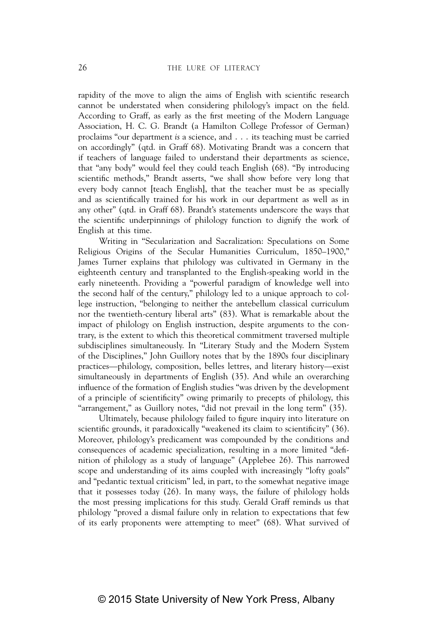rapidity of the move to align the aims of English with scientific research cannot be understated when considering philology's impact on the field. According to Graff, as early as the first meeting of the Modern Language Association, H. C. G. Brandt (a Hamilton College Professor of German) proclaims "our department *is* a science, and . . . its teaching must be carried on accordingly" (qtd. in Graff 68). Motivating Brandt was a concern that if teachers of language failed to understand their departments as science, that "any body" would feel they could teach English (68). "By introducing scientific methods," Brandt asserts, "we shall show before very long that every body cannot [teach English], that the teacher must be as specially and as scientifically trained for his work in our department as well as in any other" (qtd. in Graff 68). Brandt's statements underscore the ways that the scientific underpinnings of philology function to dignify the work of English at this time.

Writing in "Secularization and Sacralization: Speculations on Some Religious Origins of the Secular Humanities Curriculum, 1850–1900," James Turner explains that philology was cultivated in Germany in the eighteenth century and transplanted to the English-speaking world in the early nineteenth. Providing a "powerful paradigm of knowledge well into the second half of the century," philology led to a unique approach to college instruction, "belonging to neither the antebellum classical curriculum nor the twentieth-century liberal arts" (83). What is remarkable about the impact of philology on English instruction, despite arguments to the contrary, is the extent to which this theoretical commitment traversed multiple subdisciplines simultaneously. In "Literary Study and the Modern System of the Disciplines," John Guillory notes that by the 1890s four disciplinary practices—philology, composition, belles lettres, and literary history—exist simultaneously in departments of English (35). And while an overarching influence of the formation of English studies "was driven by the development of a principle of scientificity" owing primarily to precepts of philology, this "arrangement," as Guillory notes, "did not prevail in the long term" (35).

Ultimately, because philology failed to figure inquiry into literature on scientific grounds, it paradoxically "weakened its claim to scientificity" (36). Moreover, philology's predicament was compounded by the conditions and consequences of academic specialization, resulting in a more limited "definition of philology as a study of language" (Applebee 26). This narrowed scope and understanding of its aims coupled with increasingly "lofty goals" and "pedantic textual criticism" led, in part, to the somewhat negative image that it possesses today (26). In many ways, the failure of philology holds the most pressing implications for this study. Gerald Graff reminds us that philology "proved a dismal failure only in relation to expectations that few of its early proponents were attempting to meet" (68). What survived of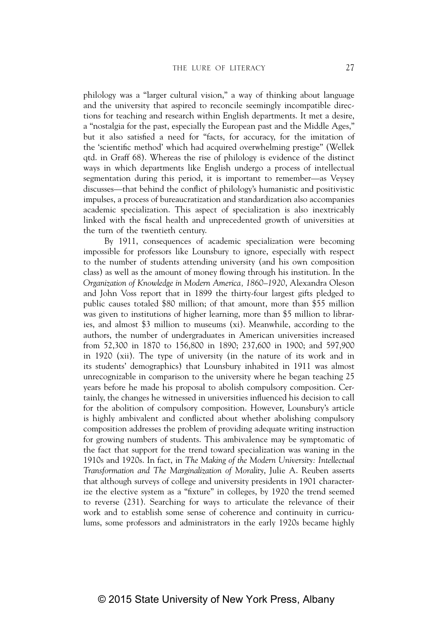philology was a "larger cultural vision," a way of thinking about language and the university that aspired to reconcile seemingly incompatible directions for teaching and research within English departments. It met a desire, a "nostalgia for the past, especially the European past and the Middle Ages," but it also satisfied a need for "facts, for accuracy, for the imitation of the 'scientific method' which had acquired overwhelming prestige" (Wellek qtd. in Graff 68). Whereas the rise of philology is evidence of the distinct ways in which departments like English undergo a process of intellectual segmentation during this period, it is important to remember—as Veysey discusses—that behind the conflict of philology's humanistic and positivistic impulses, a process of bureaucratization and standardization also accompanies academic specialization. This aspect of specialization is also inextricably linked with the fiscal health and unprecedented growth of universities at the turn of the twentieth century.

By 1911, consequences of academic specialization were becoming impossible for professors like Lounsbury to ignore, especially with respect to the number of students attending university (and his own composition class) as well as the amount of money flowing through his institution. In the *Organization of Knowledge in Modern America, 1860–1920*, Alexandra Oleson and John Voss report that in 1899 the thirty-four largest gifts pledged to public causes totaled \$80 million; of that amount, more than \$55 million was given to institutions of higher learning, more than \$5 million to libraries, and almost \$3 million to museums (xi). Meanwhile, according to the authors, the number of undergraduates in American universities increased from 52,300 in 1870 to 156,800 in 1890; 237,600 in 1900; and 597,900 in 1920 (xii). The type of university (in the nature of its work and in its students' demographics) that Lounsbury inhabited in 1911 was almost unrecognizable in comparison to the university where he began teaching 25 years before he made his proposal to abolish compulsory composition. Certainly, the changes he witnessed in universities influenced his decision to call for the abolition of compulsory composition. However, Lounsbury's article is highly ambivalent and conflicted about whether abolishing compulsory composition addresses the problem of providing adequate writing instruction for growing numbers of students. This ambivalence may be symptomatic of the fact that support for the trend toward specialization was waning in the 1910s and 1920s. In fact, in *The Making of the Modern University: Intellectual Transformation and The Marginalization of Morality*, Julie A. Reuben asserts that although surveys of college and university presidents in 1901 characterize the elective system as a "fixture" in colleges, by 1920 the trend seemed to reverse (231). Searching for ways to articulate the relevance of their work and to establish some sense of coherence and continuity in curriculums, some professors and administrators in the early 1920s became highly